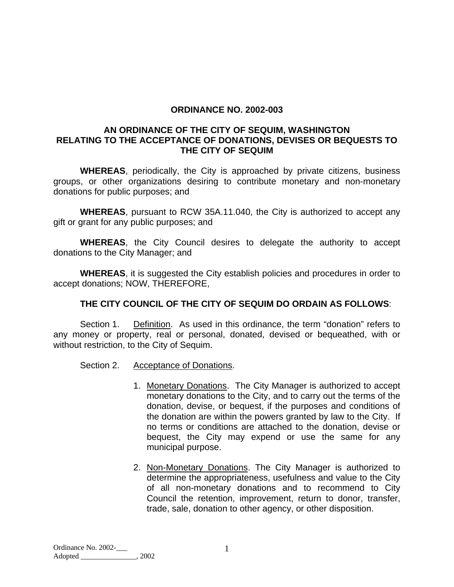#### **ORDINANCE NO. 2002-003**

#### **AN ORDINANCE OF THE CITY OF SEQUIM, WASHINGTON RELATING TO THE ACCEPTANCE OF DONATIONS, DEVISES OR BEQUESTS TO THE CITY OF SEQUIM**

**WHEREAS**, periodically, the City is approached by private citizens, business groups, or other organizations desiring to contribute monetary and non-monetary donations for public purposes; and

**WHEREAS**, pursuant to RCW 35A.11.040, the City is authorized to accept any gift or grant for any public purposes; and

**WHEREAS**, the City Council desires to delegate the authority to accept donations to the City Manager; and

**WHEREAS**, it is suggested the City establish policies and procedures in order to accept donations; NOW, THEREFORE,

## **THE CITY COUNCIL OF THE CITY OF SEQUIM DO ORDAIN AS FOLLOWS**:

 Section 1. Definition. As used in this ordinance, the term "donation" refers to any money or property, real or personal, donated, devised or bequeathed, with or without restriction, to the City of Sequim.

Section 2. Acceptance of Donations.

- 1. Monetary Donations. The City Manager is authorized to accept monetary donations to the City, and to carry out the terms of the donation, devise, or bequest, if the purposes and conditions of the donation are within the powers granted by law to the City. If no terms or conditions are attached to the donation, devise or bequest, the City may expend or use the same for any municipal purpose.
- 2. Non-Monetary Donations. The City Manager is authorized to determine the appropriateness, usefulness and value to the City of all non-monetary donations and to recommend to City Council the retention, improvement, return to donor, transfer, trade, sale, donation to other agency, or other disposition.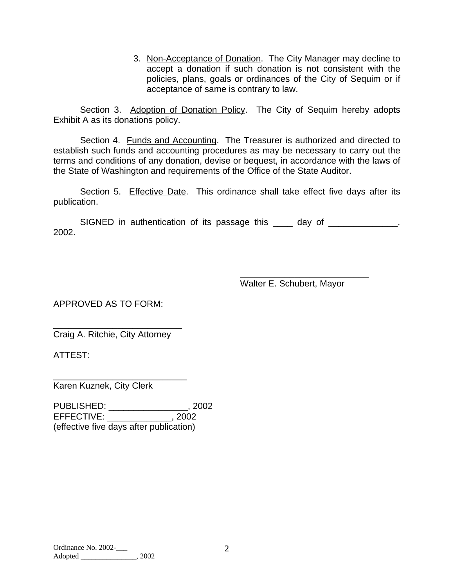3. Non-Acceptance of Donation. The City Manager may decline to accept a donation if such donation is not consistent with the policies, plans, goals or ordinances of the City of Sequim or if acceptance of same is contrary to law.

Section 3. Adoption of Donation Policy. The City of Sequim hereby adopts Exhibit A as its donations policy.

Section 4. Funds and Accounting. The Treasurer is authorized and directed to establish such funds and accounting procedures as may be necessary to carry out the terms and conditions of any donation, devise or bequest, in accordance with the laws of the State of Washington and requirements of the Office of the State Auditor.

Section 5. Effective Date. This ordinance shall take effect five days after its publication.

SIGNED in authentication of its passage this \_\_\_\_ day of \_\_\_\_\_\_\_\_\_\_\_\_\_, 2002.

Walter E. Schubert, Mayor

\_\_\_\_\_\_\_\_\_\_\_\_\_\_\_\_\_\_\_\_\_\_\_\_\_\_

APPROVED AS TO FORM:

\_\_\_\_\_\_\_\_\_\_\_\_\_\_\_\_\_\_\_\_\_\_\_\_\_\_ Craig A. Ritchie, City Attorney

\_\_\_\_\_\_\_\_\_\_\_\_\_\_\_\_\_\_\_\_\_\_\_\_\_\_\_

ATTEST:

Karen Kuznek, City Clerk

PUBLISHED: \_\_\_\_\_\_\_\_\_\_\_\_\_\_\_\_, 2002 EFFECTIVE: \_\_\_\_\_\_\_\_\_\_\_\_\_, 2002 (effective five days after publication)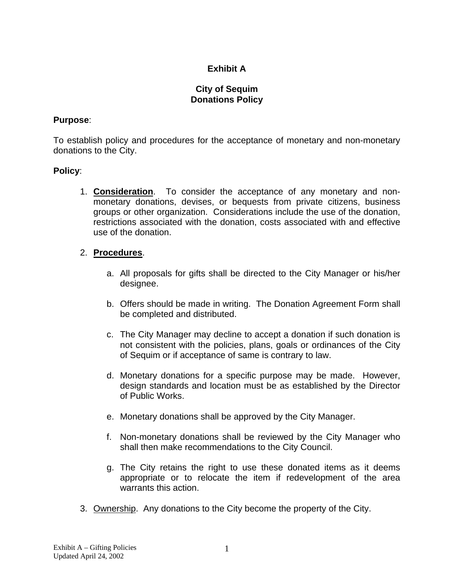# **Exhibit A**

#### **City of Sequim Donations Policy**

#### **Purpose**:

To establish policy and procedures for the acceptance of monetary and non-monetary donations to the City.

#### **Policy**:

 1. **Consideration**. To consider the acceptance of any monetary and nonmonetary donations, devises, or bequests from private citizens, business groups or other organization. Considerations include the use of the donation, restrictions associated with the donation, costs associated with and effective use of the donation.

## 2. **Procedures**.

- a. All proposals for gifts shall be directed to the City Manager or his/her designee.
- b. Offers should be made in writing. The Donation Agreement Form shall be completed and distributed.
- c. The City Manager may decline to accept a donation if such donation is not consistent with the policies, plans, goals or ordinances of the City of Sequim or if acceptance of same is contrary to law.
- d. Monetary donations for a specific purpose may be made. However, design standards and location must be as established by the Director of Public Works.
- e. Monetary donations shall be approved by the City Manager.
- f. Non-monetary donations shall be reviewed by the City Manager who shall then make recommendations to the City Council.
- g. The City retains the right to use these donated items as it deems appropriate or to relocate the item if redevelopment of the area warrants this action.
- 3. Ownership. Any donations to the City become the property of the City.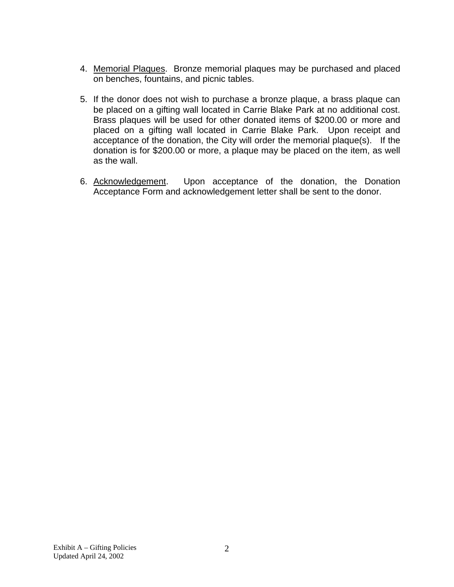- 4. Memorial Plaques. Bronze memorial plaques may be purchased and placed on benches, fountains, and picnic tables.
- 5. If the donor does not wish to purchase a bronze plaque, a brass plaque can be placed on a gifting wall located in Carrie Blake Park at no additional cost. Brass plaques will be used for other donated items of \$200.00 or more and placed on a gifting wall located in Carrie Blake Park. Upon receipt and acceptance of the donation, the City will order the memorial plaque(s). If the donation is for \$200.00 or more, a plaque may be placed on the item, as well as the wall.
- 6. Acknowledgement. Upon acceptance of the donation, the Donation Acceptance Form and acknowledgement letter shall be sent to the donor.